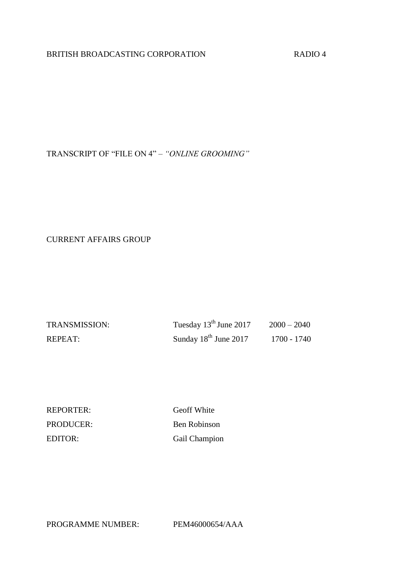## BRITISH BROADCASTING CORPORATION RADIO 4

TRANSCRIPT OF "FILE ON 4" – *"ONLINE GROOMING"*

CURRENT AFFAIRS GROUP

| <b>TRANSMISSION:</b> | Tuesday $13^{\text{th}}$ June 2017 | $2000 - 2040$ |
|----------------------|------------------------------------|---------------|
| REPEAT:              | Sunday $18th$ June 2017            | 1700 - 1740   |

REPORTER: Geoff White PRODUCER: Ben Robinson EDITOR: Gail Champion

PROGRAMME NUMBER: PEM46000654/AAA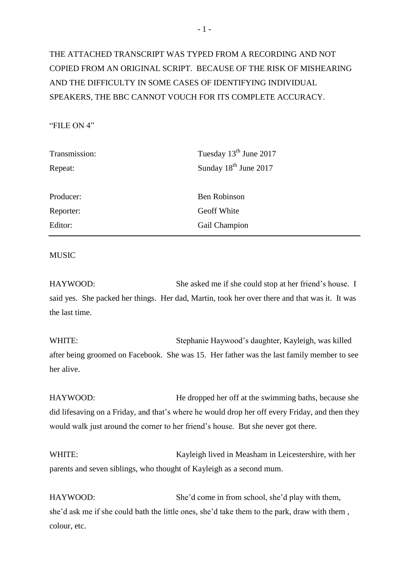# THE ATTACHED TRANSCRIPT WAS TYPED FROM A RECORDING AND NOT COPIED FROM AN ORIGINAL SCRIPT. BECAUSE OF THE RISK OF MISHEARING AND THE DIFFICULTY IN SOME CASES OF IDENTIFYING INDIVIDUAL SPEAKERS, THE BBC CANNOT VOUCH FOR ITS COMPLETE ACCURACY.

## "FILE ON 4"

| Transmission: | Tuesday 13 <sup>th</sup> June 2017 |
|---------------|------------------------------------|
| Repeat:       | Sunday 18 <sup>th</sup> June 2017  |
|               |                                    |
| Producer:     | <b>Ben Robinson</b>                |
| Reporter:     | Geoff White                        |
| Editor:       | Gail Champion                      |
|               |                                    |

### **MUSIC**

HAYWOOD: She asked me if she could stop at her friend's house. I said yes. She packed her things. Her dad, Martin, took her over there and that was it. It was the last time.

WHITE: Stephanie Haywood's daughter, Kayleigh, was killed after being groomed on Facebook. She was 15. Her father was the last family member to see her alive.

HAYWOOD: He dropped her off at the swimming baths, because she did lifesaving on a Friday, and that's where he would drop her off every Friday, and then they would walk just around the corner to her friend's house. But she never got there.

WHITE: Kayleigh lived in Measham in Leicestershire, with her parents and seven siblings, who thought of Kayleigh as a second mum.

HAYWOOD: She'd come in from school, she'd play with them, she'd ask me if she could bath the little ones, she'd take them to the park, draw with them , colour, etc.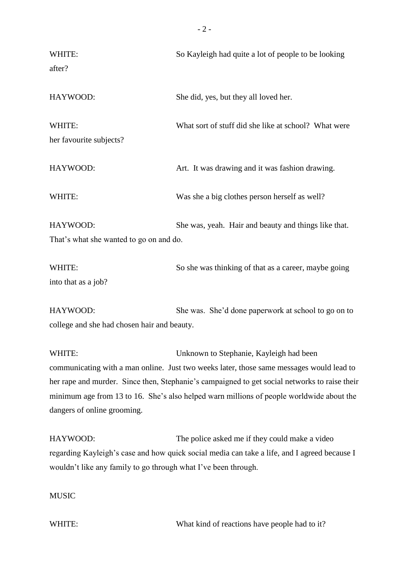| WHITE:<br>after?                                                                                                                                                                                                                                                                                                                                                          | So Kayleigh had quite a lot of people to be looking                                                                                            |
|---------------------------------------------------------------------------------------------------------------------------------------------------------------------------------------------------------------------------------------------------------------------------------------------------------------------------------------------------------------------------|------------------------------------------------------------------------------------------------------------------------------------------------|
| HAYWOOD:                                                                                                                                                                                                                                                                                                                                                                  | She did, yes, but they all loved her.                                                                                                          |
| WHITE:<br>her favourite subjects?                                                                                                                                                                                                                                                                                                                                         | What sort of stuff did she like at school? What were                                                                                           |
| HAYWOOD:                                                                                                                                                                                                                                                                                                                                                                  | Art. It was drawing and it was fashion drawing.                                                                                                |
| WHITE:                                                                                                                                                                                                                                                                                                                                                                    | Was she a big clothes person herself as well?                                                                                                  |
| HAYWOOD:<br>That's what she wanted to go on and do.                                                                                                                                                                                                                                                                                                                       | She was, yeah. Hair and beauty and things like that.                                                                                           |
| WHITE:<br>into that as a job?                                                                                                                                                                                                                                                                                                                                             | So she was thinking of that as a career, maybe going                                                                                           |
| HAYWOOD:<br>college and she had chosen hair and beauty.                                                                                                                                                                                                                                                                                                                   | She was. She'd done paperwork at school to go on to                                                                                            |
| WHITE:<br>Unknown to Stephanie, Kayleigh had been<br>communicating with a man online. Just two weeks later, those same messages would lead to<br>her rape and murder. Since then, Stephanie's campaigned to get social networks to raise their<br>minimum age from 13 to 16. She's also helped warn millions of people worldwide about the<br>dangers of online grooming. |                                                                                                                                                |
| HAYWOOD:<br>wouldn't like any family to go through what I've been through.<br><b>MUSIC</b>                                                                                                                                                                                                                                                                                | The police asked me if they could make a video<br>regarding Kayleigh's case and how quick social media can take a life, and I agreed because I |

WHITE: What kind of reactions have people had to it?

- 2 -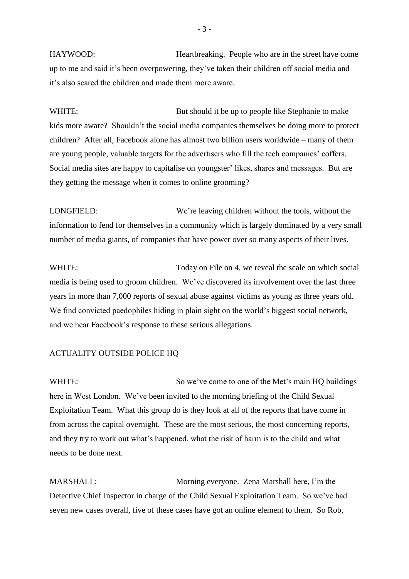HAYWOOD: Heartbreaking. People who are in the street have come up to me and said it's been overpowering, they've taken their children off social media and it's also scared the children and made them more aware.

WHITE: But should it be up to people like Stephanie to make kids more aware? Shouldn't the social media companies themselves be doing more to protect children? After all, Facebook alone has almost two billion users worldwide – many of them are young people, valuable targets for the advertisers who fill the tech companies' coffers. Social media sites are happy to capitalise on youngster' likes, shares and messages. But are they getting the message when it comes to online grooming?

LONGFIELD: We're leaving children without the tools, without the information to fend for themselves in a community which is largely dominated by a very small number of media giants, of companies that have power over so many aspects of their lives.

WHITE: Today on File on 4, we reveal the scale on which social media is being used to groom children. We've discovered its involvement over the last three years in more than 7,000 reports of sexual abuse against victims as young as three years old. We find convicted paedophiles hiding in plain sight on the world's biggest social network, and we hear Facebook's response to these serious allegations.

#### ACTUALITY OUTSIDE POLICE HQ

WHITE: So we've come to one of the Met's main HQ buildings here in West London. We've been invited to the morning briefing of the Child Sexual Exploitation Team. What this group do is they look at all of the reports that have come in from across the capital overnight. These are the most serious, the most concerning reports, and they try to work out what's happened, what the risk of harm is to the child and what needs to be done next.

MARSHALL: Morning everyone. Zena Marshall here, I'm the Detective Chief Inspector in charge of the Child Sexual Exploitation Team. So we've had seven new cases overall, five of these cases have got an online element to them. So Rob,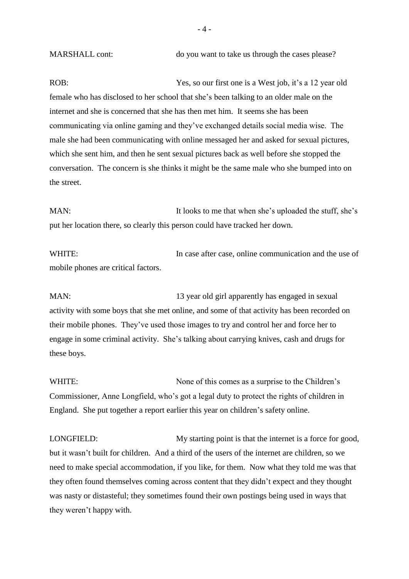MARSHALL cont: do you want to take us through the cases please?

ROB: Yes, so our first one is a West job, it's a 12 year old female who has disclosed to her school that she's been talking to an older male on the internet and she is concerned that she has then met him. It seems she has been communicating via online gaming and they've exchanged details social media wise. The male she had been communicating with online messaged her and asked for sexual pictures, which she sent him, and then he sent sexual pictures back as well before she stopped the conversation. The concern is she thinks it might be the same male who she bumped into on the street.

MAN: It looks to me that when she's uploaded the stuff, she's put her location there, so clearly this person could have tracked her down.

WHITE: In case after case, online communication and the use of mobile phones are critical factors.

MAN: 13 year old girl apparently has engaged in sexual activity with some boys that she met online, and some of that activity has been recorded on their mobile phones. They've used those images to try and control her and force her to engage in some criminal activity. She's talking about carrying knives, cash and drugs for these boys.

WHITE: None of this comes as a surprise to the Children's Commissioner, Anne Longfield, who's got a legal duty to protect the rights of children in England. She put together a report earlier this year on children's safety online.

LONGFIELD: My starting point is that the internet is a force for good, but it wasn't built for children. And a third of the users of the internet are children, so we need to make special accommodation, if you like, for them. Now what they told me was that they often found themselves coming across content that they didn't expect and they thought was nasty or distasteful; they sometimes found their own postings being used in ways that they weren't happy with.

 $-4-$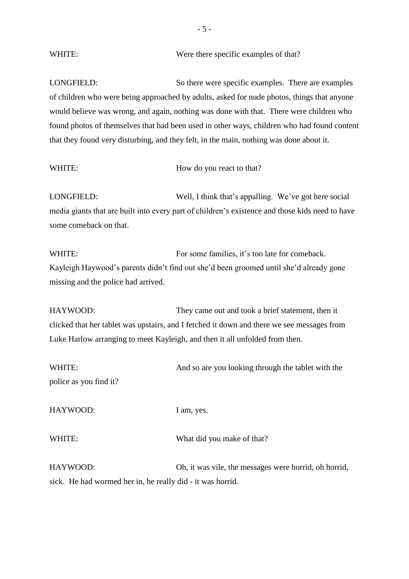# WHITE: Were there specific examples of that?

LONGFIELD: So there were specific examples. There are examples of children who were being approached by adults, asked for nude photos, things that anyone would believe was wrong, and again, nothing was done with that. There were children who found photos of themselves that had been used in other ways, children who had found content that they found very disturbing, and they felt, in the main, nothing was done about it.

| How do you react to that? |
|---------------------------|
|                           |

LONGFIELD: Well, I think that's appalling. We've got here social media giants that are built into every part of children's existence and those kids need to have some comeback on that.

WHITE: For some families, it's too late for comeback. Kayleigh Haywood's parents didn't find out she'd been groomed until she'd already gone missing and the police had arrived.

HAYWOOD: They came out and took a brief statement, then it clicked that her tablet was upstairs, and I fetched it down and there we see messages from Luke Harlow arranging to meet Kayleigh, and then it all unfolded from then.

| WHITE:                                                     | And so are you looking through the tablet with the    |
|------------------------------------------------------------|-------------------------------------------------------|
| police as you find it?                                     |                                                       |
| HAYWOOD:                                                   | I am, yes.                                            |
| WHITE:                                                     | What did you make of that?                            |
| HAYWOOD:                                                   | Oh, it was vile, the messages were horrid, oh horrid, |
| sick. He had wormed her in, he really did - it was horrid. |                                                       |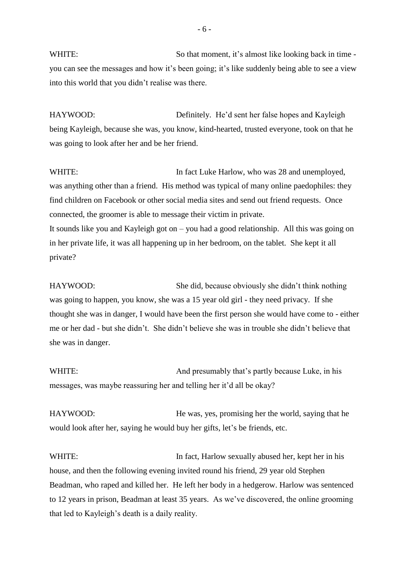WHITE: So that moment, it's almost like looking back in time you can see the messages and how it's been going; it's like suddenly being able to see a view into this world that you didn't realise was there.

HAYWOOD: Definitely. He'd sent her false hopes and Kayleigh being Kayleigh, because she was, you know, kind-hearted, trusted everyone, took on that he was going to look after her and be her friend.

WHITE: In fact Luke Harlow, who was 28 and unemployed, was anything other than a friend. His method was typical of many online paedophiles: they find children on Facebook or other social media sites and send out friend requests. Once connected, the groomer is able to message their victim in private. It sounds like you and Kayleigh got on – you had a good relationship. All this was going on in her private life, it was all happening up in her bedroom, on the tablet. She kept it all private?

HAYWOOD: She did, because obviously she didn't think nothing was going to happen, you know, she was a 15 year old girl - they need privacy. If she thought she was in danger, I would have been the first person she would have come to - either me or her dad - but she didn't. She didn't believe she was in trouble she didn't believe that she was in danger.

WHITE: And presumably that's partly because Luke, in his messages, was maybe reassuring her and telling her it'd all be okay?

HAYWOOD: He was, yes, promising her the world, saying that he would look after her, saying he would buy her gifts, let's be friends, etc.

WHITE: In fact, Harlow sexually abused her, kept her in his house, and then the following evening invited round his friend, 29 year old Stephen Beadman, who raped and killed her. He left her body in a hedgerow. Harlow was sentenced to 12 years in prison, Beadman at least 35 years. As we've discovered, the online grooming that led to Kayleigh's death is a daily reality.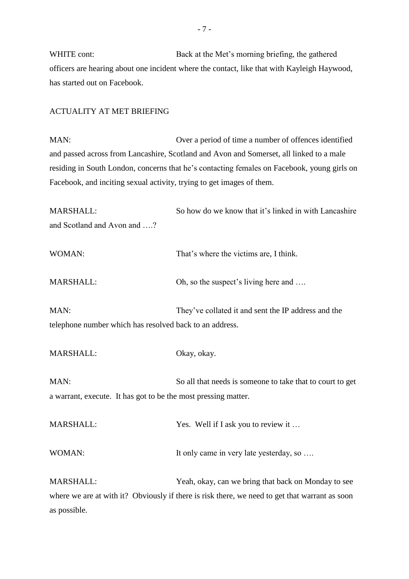WHITE cont: Back at the Met's morning briefing, the gathered officers are hearing about one incident where the contact, like that with Kayleigh Haywood, has started out on Facebook.

## ACTUALITY AT MET BRIEFING

MAN: Over a period of time a number of offences identified and passed across from Lancashire, Scotland and Avon and Somerset, all linked to a male residing in South London, concerns that he's contacting females on Facebook, young girls on Facebook, and inciting sexual activity, trying to get images of them.

| MARSHALL:                                                       | So how do we know that it's linked in with Lancashire                                          |
|-----------------------------------------------------------------|------------------------------------------------------------------------------------------------|
| and Scotland and Avon and ?                                     |                                                                                                |
| WOMAN:                                                          | That's where the victims are, I think.                                                         |
| <b>MARSHALL:</b>                                                | Oh, so the suspect's living here and                                                           |
| MAN:<br>telephone number which has resolved back to an address. | They've collated it and sent the IP address and the                                            |
| MARSHALL:                                                       | Okay, okay.                                                                                    |
|                                                                 |                                                                                                |
| MAN:                                                            | So all that needs is someone to take that to court to get                                      |
| a warrant, execute. It has got to be the most pressing matter.  |                                                                                                |
| MARSHALL:                                                       | Yes. Well if I ask you to review it                                                            |
| WOMAN:                                                          | It only came in very late yesterday, so                                                        |
| <b>MARSHALL:</b>                                                | Yeah, okay, can we bring that back on Monday to see                                            |
|                                                                 | where we are at with it? Obviously if there is risk there, we need to get that warrant as soon |
| as possible.                                                    |                                                                                                |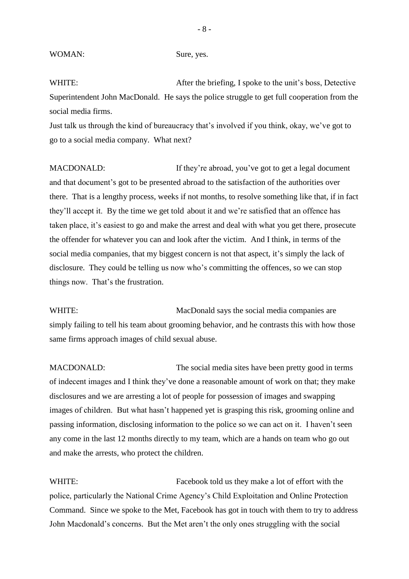WHITE: After the briefing, I spoke to the unit's boss, Detective Superintendent John MacDonald. He says the police struggle to get full cooperation from the social media firms.

Just talk us through the kind of bureaucracy that's involved if you think, okay, we've got to go to a social media company. What next?

MACDONALD: If they're abroad, you've got to get a legal document and that document's got to be presented abroad to the satisfaction of the authorities over there. That is a lengthy process, weeks if not months, to resolve something like that, if in fact they'll accept it. By the time we get told about it and we're satisfied that an offence has taken place, it's easiest to go and make the arrest and deal with what you get there, prosecute the offender for whatever you can and look after the victim. And I think, in terms of the social media companies, that my biggest concern is not that aspect, it's simply the lack of disclosure. They could be telling us now who's committing the offences, so we can stop things now. That's the frustration.

WHITE: MacDonald says the social media companies are simply failing to tell his team about grooming behavior, and he contrasts this with how those same firms approach images of child sexual abuse.

MACDONALD: The social media sites have been pretty good in terms of indecent images and I think they've done a reasonable amount of work on that; they make disclosures and we are arresting a lot of people for possession of images and swapping images of children. But what hasn't happened yet is grasping this risk, grooming online and passing information, disclosing information to the police so we can act on it. I haven't seen any come in the last 12 months directly to my team, which are a hands on team who go out and make the arrests, who protect the children.

WHITE: Facebook told us they make a lot of effort with the police, particularly the National Crime Agency's Child Exploitation and Online Protection Command. Since we spoke to the Met, Facebook has got in touch with them to try to address John Macdonald's concerns. But the Met aren't the only ones struggling with the social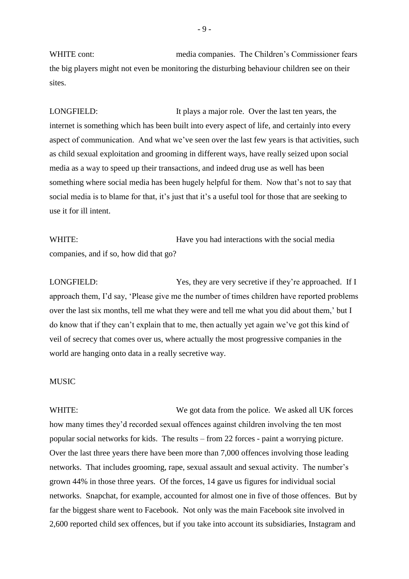WHITE cont: media companies. The Children's Commissioner fears the big players might not even be monitoring the disturbing behaviour children see on their sites.

LONGFIELD: It plays a major role. Over the last ten years, the internet is something which has been built into every aspect of life, and certainly into every aspect of communication. And what we've seen over the last few years is that activities, such as child sexual exploitation and grooming in different ways, have really seized upon social media as a way to speed up their transactions, and indeed drug use as well has been something where social media has been hugely helpful for them. Now that's not to say that social media is to blame for that, it's just that it's a useful tool for those that are seeking to use it for ill intent.

WHITE: Have you had interactions with the social media companies, and if so, how did that go?

LONGFIELD: Yes, they are very secretive if they're approached. If I approach them, I'd say, 'Please give me the number of times children have reported problems over the last six months, tell me what they were and tell me what you did about them,' but I do know that if they can't explain that to me, then actually yet again we've got this kind of veil of secrecy that comes over us, where actually the most progressive companies in the world are hanging onto data in a really secretive way.

#### **MUSIC**

WHITE: We got data from the police. We asked all UK forces how many times they'd recorded sexual offences against children involving the ten most popular social networks for kids. The results – from 22 forces - paint a worrying picture. Over the last three years there have been more than 7,000 offences involving those leading networks. That includes grooming, rape, sexual assault and sexual activity. The number's grown 44% in those three years. Of the forces, 14 gave us figures for individual social networks. Snapchat, for example, accounted for almost one in five of those offences. But by far the biggest share went to Facebook. Not only was the main Facebook site involved in 2,600 reported child sex offences, but if you take into account its subsidiaries, Instagram and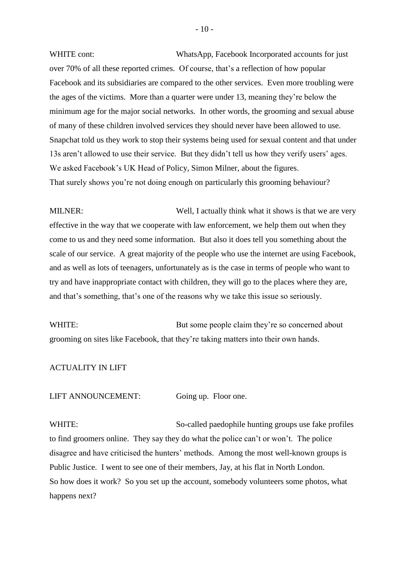WHITE cont: WhatsApp, Facebook Incorporated accounts for just over 70% of all these reported crimes. Of course, that's a reflection of how popular Facebook and its subsidiaries are compared to the other services. Even more troubling were the ages of the victims. More than a quarter were under 13, meaning they're below the minimum age for the major social networks. In other words, the grooming and sexual abuse of many of these children involved services they should never have been allowed to use. Snapchat told us they work to stop their systems being used for sexual content and that under 13s aren't allowed to use their service. But they didn't tell us how they verify users' ages. We asked Facebook's UK Head of Policy, Simon Milner, about the figures. That surely shows you're not doing enough on particularly this grooming behaviour?

MILNER: Well, I actually think what it shows is that we are very effective in the way that we cooperate with law enforcement, we help them out when they come to us and they need some information. But also it does tell you something about the scale of our service. A great majority of the people who use the internet are using Facebook, and as well as lots of teenagers, unfortunately as is the case in terms of people who want to try and have inappropriate contact with children, they will go to the places where they are, and that's something, that's one of the reasons why we take this issue so seriously.

WHITE: But some people claim they're so concerned about grooming on sites like Facebook, that they're taking matters into their own hands.

### ACTUALITY IN LIFT

LIFT ANNOUNCEMENT: Going up. Floor one.

WHITE: So-called paedophile hunting groups use fake profiles to find groomers online. They say they do what the police can't or won't. The police disagree and have criticised the hunters' methods. Among the most well-known groups is Public Justice. I went to see one of their members, Jay, at his flat in North London. So how does it work? So you set up the account, somebody volunteers some photos, what happens next?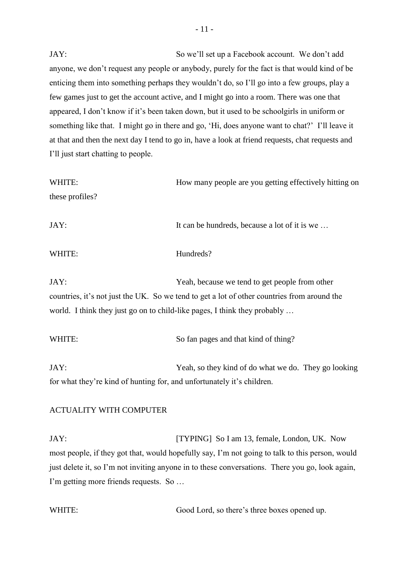JAY: So we'll set up a Facebook account. We don't add anyone, we don't request any people or anybody, purely for the fact is that would kind of be enticing them into something perhaps they wouldn't do, so I'll go into a few groups, play a few games just to get the account active, and I might go into a room. There was one that appeared, I don't know if it's been taken down, but it used to be schoolgirls in uniform or something like that. I might go in there and go, 'Hi, does anyone want to chat?' I'll leave it at that and then the next day I tend to go in, have a look at friend requests, chat requests and I'll just start chatting to people.

| WHITE:          | How many people are you getting effectively hitting on |
|-----------------|--------------------------------------------------------|
| these profiles? |                                                        |
| JAY:            | It can be hundreds, because a lot of it is we          |

# WHITE: Hundreds?

JAY: Yeah, because we tend to get people from other countries, it's not just the UK. So we tend to get a lot of other countries from around the world. I think they just go on to child-like pages, I think they probably …

# WHITE: So fan pages and that kind of thing?

JAY: Yeah, so they kind of do what we do. They go looking for what they're kind of hunting for, and unfortunately it's children.

#### ACTUALITY WITH COMPUTER

JAY: [TYPING] So I am 13, female, London, UK. Now most people, if they got that, would hopefully say, I'm not going to talk to this person, would just delete it, so I'm not inviting anyone in to these conversations. There you go, look again, I'm getting more friends requests. So …

WHITE: Good Lord, so there's three boxes opened up.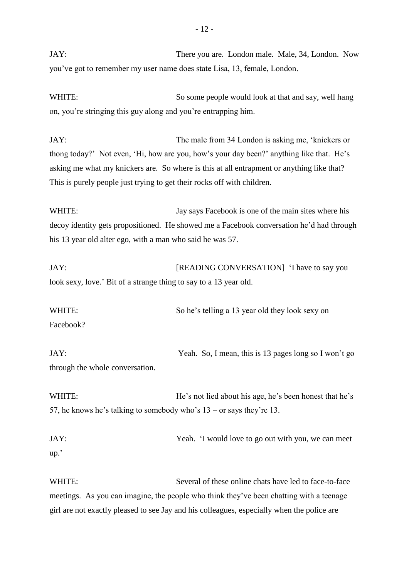JAY: There you are. London male. Male, 34, London. Now you've got to remember my user name does state Lisa, 13, female, London.

WHITE: So some people would look at that and say, well hang on, you're stringing this guy along and you're entrapping him.

JAY: The male from 34 London is asking me, 'knickers or thong today?' Not even, 'Hi, how are you, how's your day been?' anything like that. He's asking me what my knickers are. So where is this at all entrapment or anything like that? This is purely people just trying to get their rocks off with children.

WHITE: Jay says Facebook is one of the main sites where his decoy identity gets propositioned. He showed me a Facebook conversation he'd had through his 13 year old alter ego, with a man who said he was 57.

JAY: [READING CONVERSATION] 'I have to say you look sexy, love.' Bit of a strange thing to say to a 13 year old.

WHITE: So he's telling a 13 year old they look sexy on Facebook?

JAY: Yeah. So, I mean, this is 13 pages long so I won't go through the whole conversation.

WHITE: He's not lied about his age, he's been honest that he's 57, he knows he's talking to somebody who's 13 – or says they're 13.

JAY: Yeah. 'I would love to go out with you, we can meet up.'

WHITE: Several of these online chats have led to face-to-face meetings. As you can imagine, the people who think they've been chatting with a teenage girl are not exactly pleased to see Jay and his colleagues, especially when the police are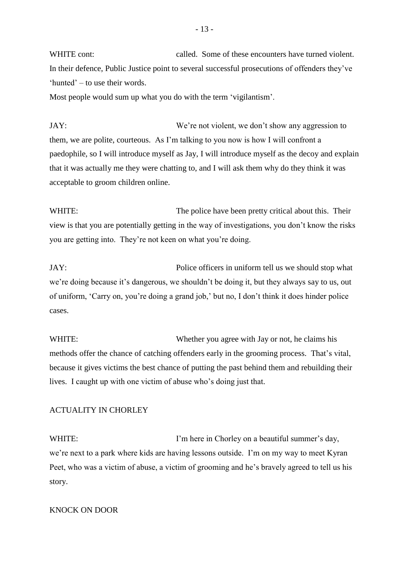WHITE cont: called. Some of these encounters have turned violent. In their defence, Public Justice point to several successful prosecutions of offenders they've 'hunted' – to use their words.

Most people would sum up what you do with the term 'vigilantism'.

JAY: We're not violent, we don't show any aggression to them, we are polite, courteous. As I'm talking to you now is how I will confront a paedophile, so I will introduce myself as Jay, I will introduce myself as the decoy and explain that it was actually me they were chatting to, and I will ask them why do they think it was acceptable to groom children online.

WHITE: The police have been pretty critical about this. Their view is that you are potentially getting in the way of investigations, you don't know the risks you are getting into. They're not keen on what you're doing.

JAY: Police officers in uniform tell us we should stop what we're doing because it's dangerous, we shouldn't be doing it, but they always say to us, out of uniform, 'Carry on, you're doing a grand job,' but no, I don't think it does hinder police cases.

WHITE: Whether you agree with Jay or not, he claims his methods offer the chance of catching offenders early in the grooming process. That's vital, because it gives victims the best chance of putting the past behind them and rebuilding their lives. I caught up with one victim of abuse who's doing just that.

# ACTUALITY IN CHORLEY

WHITE: I'm here in Chorley on a beautiful summer's day, we're next to a park where kids are having lessons outside. I'm on my way to meet Kyran Peet, who was a victim of abuse, a victim of grooming and he's bravely agreed to tell us his story.

## KNOCK ON DOOR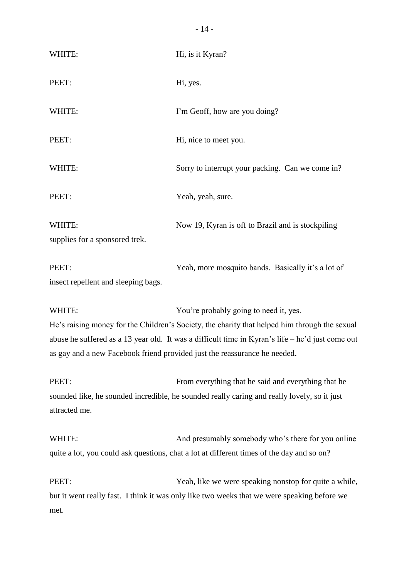| WHITE:                                       | Hi, is it Kyran?                                   |
|----------------------------------------------|----------------------------------------------------|
| PEET:                                        | Hi, yes.                                           |
| WHITE:                                       | I'm Geoff, how are you doing?                      |
| PEET:                                        | Hi, nice to meet you.                              |
| WHITE:                                       | Sorry to interrupt your packing. Can we come in?   |
| PEET:                                        | Yeah, yeah, sure.                                  |
| WHITE:<br>supplies for a sponsored trek.     | Now 19, Kyran is off to Brazil and is stockpiling  |
| PEET:<br>insect repellent and sleeping bags. | Yeah, more mosquito bands. Basically it's a lot of |

WHITE: You're probably going to need it, yes. He's raising money for the Children's Society, the charity that helped him through the sexual abuse he suffered as a 13 year old. It was a difficult time in Kyran's life – he'd just come out as gay and a new Facebook friend provided just the reassurance he needed.

PEET: From everything that he said and everything that he sounded like, he sounded incredible, he sounded really caring and really lovely, so it just attracted me.

WHITE: And presumably somebody who's there for you online quite a lot, you could ask questions, chat a lot at different times of the day and so on?

PEET: Yeah, like we were speaking nonstop for quite a while, but it went really fast. I think it was only like two weeks that we were speaking before we met.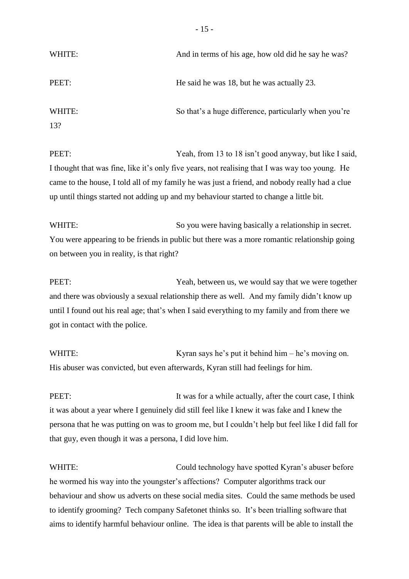| And in terms of his age, how old did he say he was?   |
|-------------------------------------------------------|
| He said he was 18, but he was actually 23.            |
| So that's a huge difference, particularly when you're |
|                                                       |

PEET: Yeah, from 13 to 18 isn't good anyway, but like I said, I thought that was fine, like it's only five years, not realising that I was way too young. He came to the house, I told all of my family he was just a friend, and nobody really had a clue up until things started not adding up and my behaviour started to change a little bit.

WHITE: So you were having basically a relationship in secret. You were appearing to be friends in public but there was a more romantic relationship going on between you in reality, is that right?

PEET: Yeah, between us, we would say that we were together and there was obviously a sexual relationship there as well. And my family didn't know up until I found out his real age; that's when I said everything to my family and from there we got in contact with the police.

WHITE: Kyran says he's put it behind him – he's moving on. His abuser was convicted, but even afterwards, Kyran still had feelings for him.

PEET: It was for a while actually, after the court case, I think it was about a year where I genuinely did still feel like I knew it was fake and I knew the persona that he was putting on was to groom me, but I couldn't help but feel like I did fall for that guy, even though it was a persona, I did love him.

WHITE: Could technology have spotted Kyran's abuser before he wormed his way into the youngster's affections? Computer algorithms track our behaviour and show us adverts on these social media sites. Could the same methods be used to identify grooming? Tech company Safetonet thinks so. It's been trialling software that aims to identify harmful behaviour online. The idea is that parents will be able to install the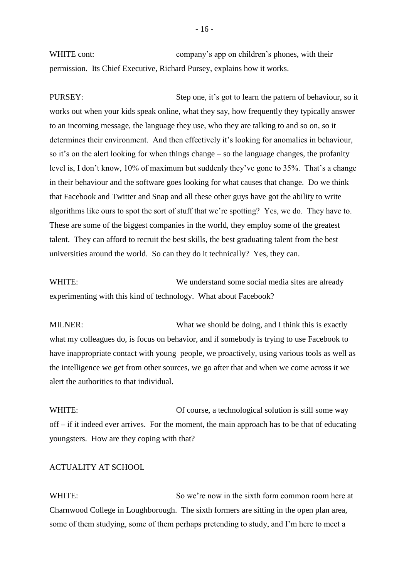WHITE cont: company's app on children's phones, with their permission. Its Chief Executive, Richard Pursey, explains how it works.

PURSEY:<br>Step one, it's got to learn the pattern of behaviour, so it works out when your kids speak online, what they say, how frequently they typically answer to an incoming message, the language they use, who they are talking to and so on, so it determines their environment. And then effectively it's looking for anomalies in behaviour, so it's on the alert looking for when things change – so the language changes, the profanity level is, I don't know, 10% of maximum but suddenly they've gone to 35%. That's a change in their behaviour and the software goes looking for what causes that change. Do we think that Facebook and Twitter and Snap and all these other guys have got the ability to write algorithms like ours to spot the sort of stuff that we're spotting? Yes, we do. They have to. These are some of the biggest companies in the world, they employ some of the greatest talent. They can afford to recruit the best skills, the best graduating talent from the best universities around the world. So can they do it technically? Yes, they can.

WHITE: We understand some social media sites are already experimenting with this kind of technology. What about Facebook?

MILNER: What we should be doing, and I think this is exactly what my colleagues do, is focus on behavior, and if somebody is trying to use Facebook to have inappropriate contact with young people, we proactively, using various tools as well as the intelligence we get from other sources, we go after that and when we come across it we alert the authorities to that individual.

WHITE: Of course, a technological solution is still some way off – if it indeed ever arrives. For the moment, the main approach has to be that of educating youngsters. How are they coping with that?

#### ACTUALITY AT SCHOOL

WHITE: So we're now in the sixth form common room here at Charnwood College in Loughborough. The sixth formers are sitting in the open plan area, some of them studying, some of them perhaps pretending to study, and I'm here to meet a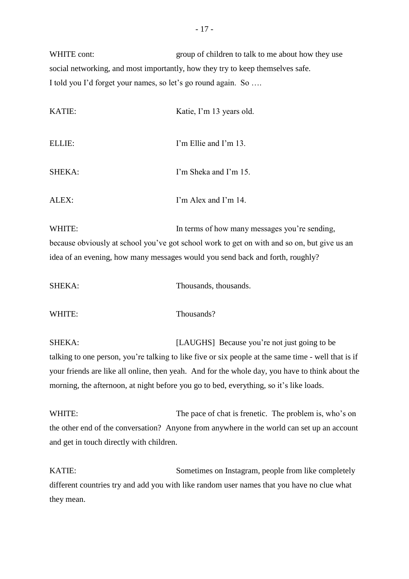WHITE cont: group of children to talk to me about how they use social networking, and most importantly, how they try to keep themselves safe. I told you I'd forget your names, so let's go round again. So ….

| KATIE: | Katie, I'm 13 years old. |
|--------|--------------------------|
| ELLIE: | I'm Ellie and I'm 13.    |
| SHEKA: | I'm Sheka and I'm 15.    |
| ALEX:  | I'm Alex and I'm 14.     |

WHITE: In terms of how many messages you're sending, because obviously at school you've got school work to get on with and so on, but give us an idea of an evening, how many messages would you send back and forth, roughly?

| <b>SHEKA:</b> | Thousands, thousands. |
|---------------|-----------------------|
|               |                       |
|               |                       |

WHITE: Thousands?

SHEKA: [LAUGHS] Because you're not just going to be talking to one person, you're talking to like five or six people at the same time - well that is if your friends are like all online, then yeah. And for the whole day, you have to think about the

morning, the afternoon, at night before you go to bed, everything, so it's like loads.

WHITE: The pace of chat is frenetic. The problem is, who's on the other end of the conversation? Anyone from anywhere in the world can set up an account and get in touch directly with children.

KATIE: Sometimes on Instagram, people from like completely different countries try and add you with like random user names that you have no clue what they mean.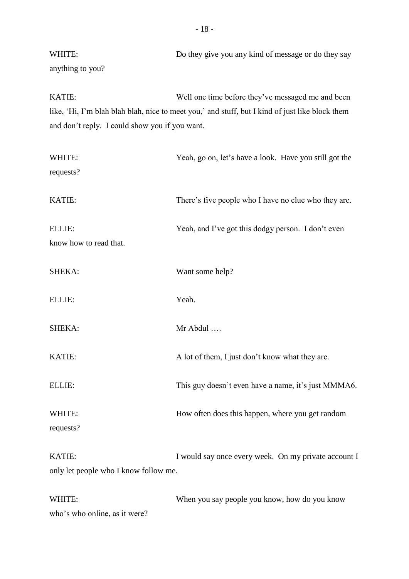WHITE: Do they give you any kind of message or do they say anything to you?

KATIE: Well one time before they've messaged me and been like, 'Hi, I'm blah blah blah, nice to meet you,' and stuff, but I kind of just like block them and don't reply. I could show you if you want.

| Yeah, go on, let's have a look. Have you still got the |
|--------------------------------------------------------|
|                                                        |
| There's five people who I have no clue who they are.   |
| Yeah, and I've got this dodgy person. I don't even     |
|                                                        |
| Want some help?                                        |
| Yeah.                                                  |
| Mr Abdul                                               |
| A lot of them, I just don't know what they are.        |
| This guy doesn't even have a name, it's just MMMA6.    |
| How often does this happen, where you get random       |
|                                                        |
| I would say once every week. On my private account I   |
| only let people who I know follow me.                  |
| When you say people you know, how do you know          |
|                                                        |

who's who online, as it were?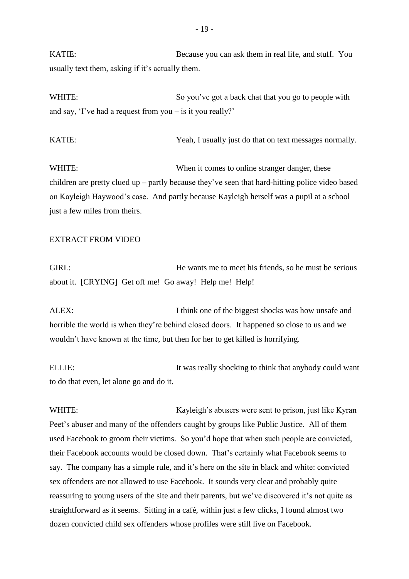KATIE: Because you can ask them in real life, and stuff. You usually text them, asking if it's actually them.

WHITE: So you've got a back chat that you go to people with and say, 'I've had a request from you – is it you really?'

KATIE: Yeah, I usually just do that on text messages normally.

WHITE: When it comes to online stranger danger, these children are pretty clued up – partly because they've seen that hard-hitting police video based on Kayleigh Haywood's case. And partly because Kayleigh herself was a pupil at a school just a few miles from theirs.

#### EXTRACT FROM VIDEO

GIRL: FREE HE wants me to meet his friends, so he must be serious about it. [CRYING] Get off me! Go away! Help me! Help!

ALEX: I think one of the biggest shocks was how unsafe and horrible the world is when they're behind closed doors. It happened so close to us and we wouldn't have known at the time, but then for her to get killed is horrifying.

ELLIE: It was really shocking to think that anybody could want to do that even, let alone go and do it.

WHITE: Kayleigh's abusers were sent to prison, just like Kyran Peet's abuser and many of the offenders caught by groups like Public Justice. All of them used Facebook to groom their victims. So you'd hope that when such people are convicted, their Facebook accounts would be closed down. That's certainly what Facebook seems to say. The company has a simple rule, and it's here on the site in black and white: convicted sex offenders are not allowed to use Facebook. It sounds very clear and probably quite reassuring to young users of the site and their parents, but we've discovered it's not quite as straightforward as it seems. Sitting in a café, within just a few clicks, I found almost two dozen convicted child sex offenders whose profiles were still live on Facebook.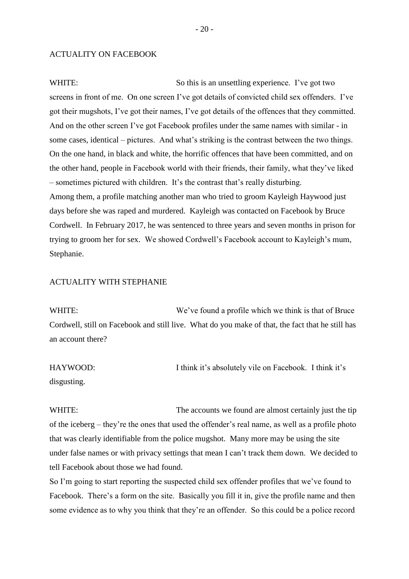#### ACTUALITY ON FACEBOOK

WHITE: So this is an unsettling experience. I've got two screens in front of me. On one screen I've got details of convicted child sex offenders. I've got their mugshots, I've got their names, I've got details of the offences that they committed. And on the other screen I've got Facebook profiles under the same names with similar - in some cases, identical – pictures. And what's striking is the contrast between the two things. On the one hand, in black and white, the horrific offences that have been committed, and on the other hand, people in Facebook world with their friends, their family, what they've liked – sometimes pictured with children. It's the contrast that's really disturbing. Among them, a profile matching another man who tried to groom Kayleigh Haywood just days before she was raped and murdered. Kayleigh was contacted on Facebook by Bruce Cordwell. In February 2017, he was sentenced to three years and seven months in prison for trying to groom her for sex. We showed Cordwell's Facebook account to Kayleigh's mum, Stephanie.

## ACTUALITY WITH STEPHANIE

WHITE: We've found a profile which we think is that of Bruce Cordwell, still on Facebook and still live. What do you make of that, the fact that he still has an account there?

HAYWOOD: I think it's absolutely vile on Facebook. I think it's disgusting.

WHITE: The accounts we found are almost certainly just the tip of the iceberg – they're the ones that used the offender's real name, as well as a profile photo that was clearly identifiable from the police mugshot. Many more may be using the site under false names or with privacy settings that mean I can't track them down. We decided to tell Facebook about those we had found.

So I'm going to start reporting the suspected child sex offender profiles that we've found to Facebook. There's a form on the site. Basically you fill it in, give the profile name and then some evidence as to why you think that they're an offender. So this could be a police record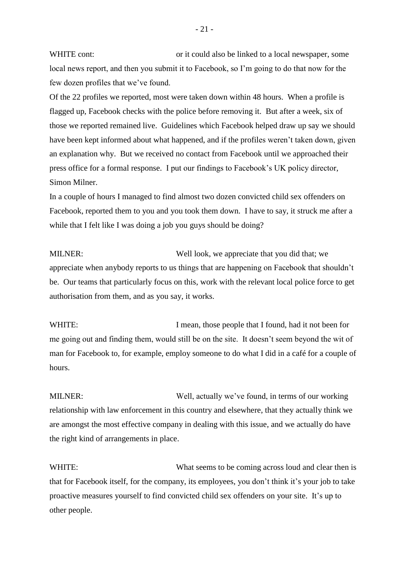WHITE cont: or it could also be linked to a local newspaper, some local news report, and then you submit it to Facebook, so I'm going to do that now for the few dozen profiles that we've found.

Of the 22 profiles we reported, most were taken down within 48 hours. When a profile is flagged up, Facebook checks with the police before removing it. But after a week, six of those we reported remained live. Guidelines which Facebook helped draw up say we should have been kept informed about what happened, and if the profiles weren't taken down, given an explanation why. But we received no contact from Facebook until we approached their press office for a formal response. I put our findings to Facebook's UK policy director, Simon Milner.

In a couple of hours I managed to find almost two dozen convicted child sex offenders on Facebook, reported them to you and you took them down. I have to say, it struck me after a while that I felt like I was doing a job you guys should be doing?

MILNER: Well look, we appreciate that you did that; we appreciate when anybody reports to us things that are happening on Facebook that shouldn't be. Our teams that particularly focus on this, work with the relevant local police force to get authorisation from them, and as you say, it works.

WHITE: I mean, those people that I found, had it not been for me going out and finding them, would still be on the site. It doesn't seem beyond the wit of man for Facebook to, for example, employ someone to do what I did in a café for a couple of hours.

MILNER: Well, actually we've found, in terms of our working relationship with law enforcement in this country and elsewhere, that they actually think we are amongst the most effective company in dealing with this issue, and we actually do have the right kind of arrangements in place.

WHITE: What seems to be coming across loud and clear then is that for Facebook itself, for the company, its employees, you don't think it's your job to take proactive measures yourself to find convicted child sex offenders on your site. It's up to other people.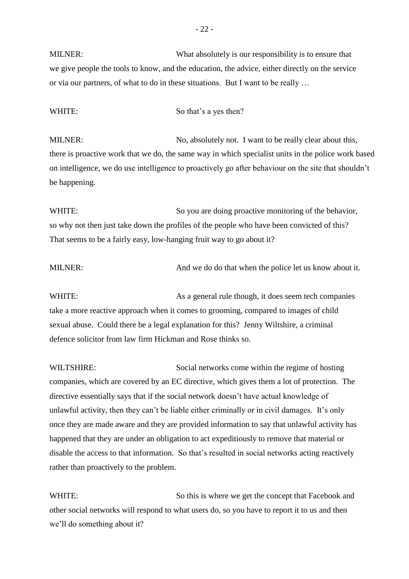MILNER: What absolutely is our responsibility is to ensure that we give people the tools to know, and the education, the advice, either directly on the service or via our partners, of what to do in these situations. But I want to be really …

#### WHITE: So that's a yes then?

MILNER: No, absolutely not. I want to be really clear about this, there is proactive work that we do, the same way in which specialist units in the police work based on intelligence, we do use intelligence to proactively go after behaviour on the site that shouldn't be happening.

WHITE: So you are doing proactive monitoring of the behavior, so why not then just take down the profiles of the people who have been convicted of this? That seems to be a fairly easy, low-hanging fruit way to go about it?

MILNER: And we do do that when the police let us know about it.

WHITE: As a general rule though, it does seem tech companies take a more reactive approach when it comes to grooming, compared to images of child sexual abuse. Could there be a legal explanation for this? Jenny Wiltshire, a criminal defence solicitor from law firm Hickman and Rose thinks so.

WILTSHIRE: Social networks come within the regime of hosting companies, which are covered by an EC directive, which gives them a lot of protection. The directive essentially says that if the social network doesn't have actual knowledge of unlawful activity, then they can't be liable either criminally or in civil damages. It's only once they are made aware and they are provided information to say that unlawful activity has happened that they are under an obligation to act expeditiously to remove that material or disable the access to that information. So that's resulted in social networks acting reactively rather than proactively to the problem.

WHITE: So this is where we get the concept that Facebook and other social networks will respond to what users do, so you have to report it to us and then we'll do something about it?